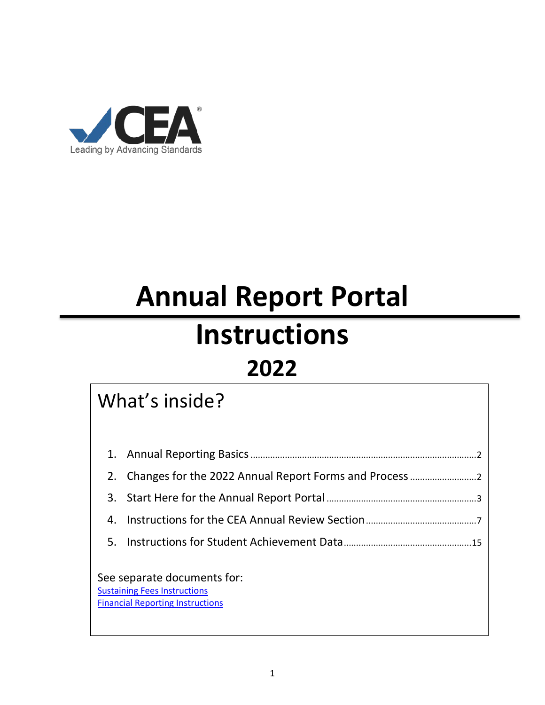

# **Annual Report Portal**

# **Instructions**

## **2022**

### What's inside?

|    | 2. Changes for the 2022 Annual Report Forms and Process                                                       |  |
|----|---------------------------------------------------------------------------------------------------------------|--|
|    |                                                                                                               |  |
| 4. |                                                                                                               |  |
|    |                                                                                                               |  |
|    | See separate documents for:<br><b>Sustaining Fees Instructions</b><br><b>Financial Reporting Instructions</b> |  |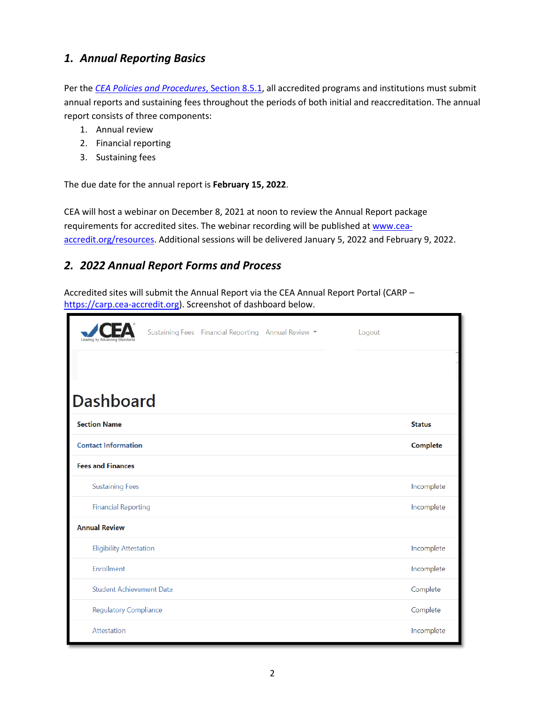#### <span id="page-1-0"></span>*1. Annual Reporting Basics*

Per the *[CEA Policies and Procedures](https://cea-accredit.org/images/2020_docs_and_handbooks/Section_8_Maintaining_accredited_status.pdf)*, Section 8.5.1, all accredited programs and institutions must submit annual reports and sustaining fees throughout the periods of both initial and reaccreditation. The annual report consists of three components:

- 1. Annual review
- 2. Financial reporting
- 3. Sustaining fees

The due date for the annual report is **February 15, 2022**.

CEA will host a webinar on December 8, 2021 at noon to review the Annual Report package requirements for accredited sites. The webinar recording will be published a[t www.cea](http://www.cea-accredit.org/resources)[accredit.org/resources.](http://www.cea-accredit.org/resources) Additional sessions will be delivered January 5, 2022 and February 9, 2022.

#### <span id="page-1-1"></span>*2. 2022 Annual Report Forms and Process*

Accredited sites will submit the Annual Report via the CEA Annual Report Portal (CARP – [https://carp.cea-accredit.org\)](https://carp.cea-accredit.org/). Screenshot of dashboard below.

|                                 | Sustaining Fees Financial Reporting Annual Review ▼ |  | Logout |               |
|---------------------------------|-----------------------------------------------------|--|--------|---------------|
| <b>Dashboard</b>                |                                                     |  |        |               |
| <b>Section Name</b>             |                                                     |  |        | <b>Status</b> |
| <b>Contact Information</b>      |                                                     |  |        | Complete      |
| <b>Fees and Finances</b>        |                                                     |  |        |               |
| <b>Sustaining Fees</b>          |                                                     |  |        | Incomplete    |
| <b>Financial Reporting</b>      |                                                     |  |        | Incomplete    |
| <b>Annual Review</b>            |                                                     |  |        |               |
| <b>Eligibility Attestation</b>  |                                                     |  |        | Incomplete    |
| Enrollment                      |                                                     |  |        | Incomplete    |
| <b>Student Achievement Data</b> |                                                     |  |        | Complete      |
| <b>Regulatory Compliance</b>    |                                                     |  |        | Complete      |
| Attestation                     |                                                     |  |        | Incomplete    |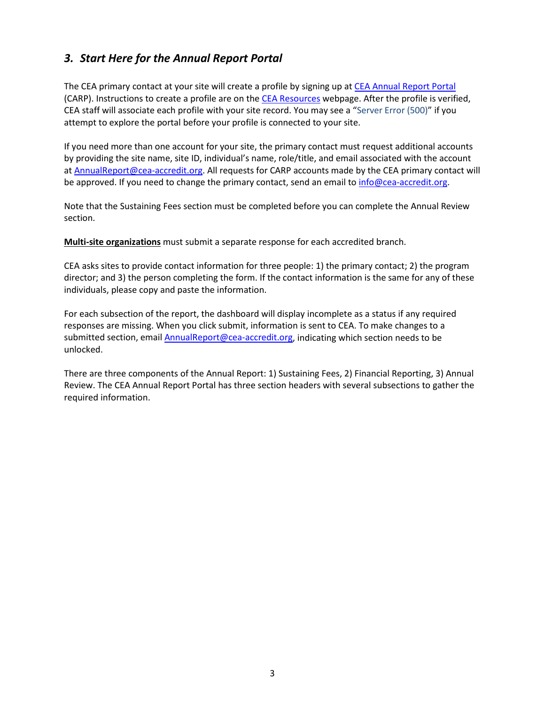#### <span id="page-2-0"></span>*3. Start Here for the Annual Report Portal*

The CEA primary contact at your site will create a profile by signing up at [CEA Annual Report Portal](https://carp.cea-accredit.org/) (CARP). Instructions to create a profile are on the [CEA Resources](https://cea-accredit.org/resources) webpage. After the profile is verified, CEA staff will associate each profile with your site record. You may see a "Server Error (500)" if you attempt to explore the portal before your profile is connected to your site.

If you need more than one account for your site, the primary contact must request additional accounts by providing the site name, site ID, individual's name, role/title, and email associated with the account at [AnnualReport@cea-accredit.org.](mailto:AnnualReport@cea-accredit.org) All requests for CARP accounts made by the CEA primary contact will be approved. If you need to change the primary contact, send an email to [info@cea-accredit.org.](mailto:info@cea-accredit.org)

Note that the Sustaining Fees section must be completed before you can complete the Annual Review section.

**Multi-site organizations** must submit a separate response for each accredited branch.

CEA asks sites to provide contact information for three people: 1) the primary contact; 2) the program director; and 3) the person completing the form. If the contact information is the same for any of these individuals, please copy and paste the information.

For each subsection of the report, the dashboard will display incomplete as a status if any required responses are missing. When you click submit, information is sent to CEA. To make changes to a submitted section, email [AnnualReport@cea-accredit.org,](mailto:AnnualReport@cea-accredit.org) indicating which section needs to be unlocked.

There are three components of the Annual Report: 1) Sustaining Fees, 2) Financial Reporting, 3) Annual Review. The CEA Annual Report Portal has three section headers with several subsections to gather the required information.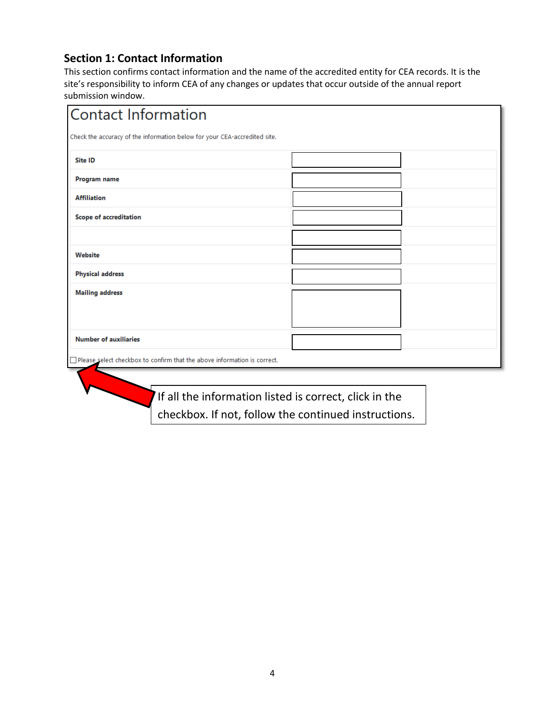#### **Section 1: Contact Information**

This section confirms contact information and the name of the accredited entity for CEA records. It is the site's responsibility to inform CEA of any changes or updates that occur outside of the annual report submission window.

| <b>Contact Information</b>                                                      |  |  |  |  |  |
|---------------------------------------------------------------------------------|--|--|--|--|--|
| Check the accuracy of the information below for your CEA-accredited site.       |  |  |  |  |  |
| Site ID                                                                         |  |  |  |  |  |
| Program name                                                                    |  |  |  |  |  |
| <b>Affiliation</b>                                                              |  |  |  |  |  |
| <b>Scope of accreditation</b>                                                   |  |  |  |  |  |
|                                                                                 |  |  |  |  |  |
| Website                                                                         |  |  |  |  |  |
| <b>Physical address</b>                                                         |  |  |  |  |  |
| <b>Mailing address</b>                                                          |  |  |  |  |  |
|                                                                                 |  |  |  |  |  |
| <b>Number of auxiliaries</b>                                                    |  |  |  |  |  |
|                                                                                 |  |  |  |  |  |
| $\Box$ Please select checkbox to confirm that the above information is correct. |  |  |  |  |  |
|                                                                                 |  |  |  |  |  |

If all the information listed is correct, click in the checkbox. If not, follow the continued instructions.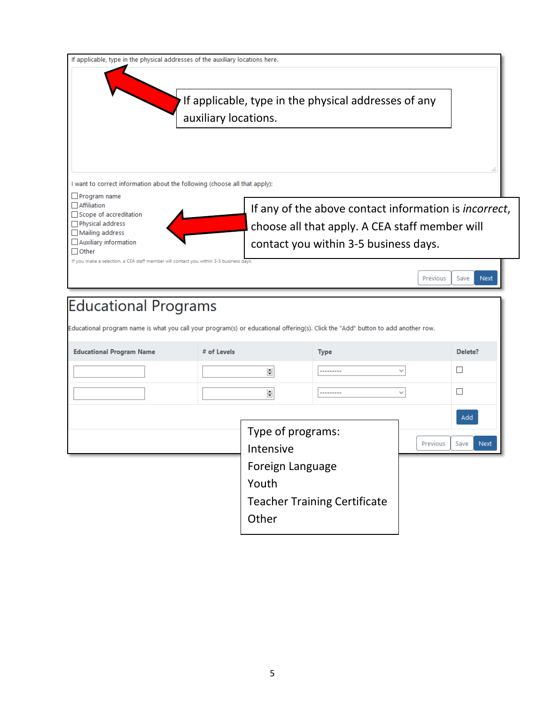

### **Educational Programs**

Educational program name is what you call your program(s) or educational offering(s). Click the "Add" button to add another row.

| <b>Educational Program Name</b> | # of Levels |                                     | <b>Type</b> |              | Delete?             |
|---------------------------------|-------------|-------------------------------------|-------------|--------------|---------------------|
|                                 |             | $\Rightarrow$                       | ---------   | $\checkmark$ |                     |
|                                 |             | $\Rightarrow$                       | ---------   | $\checkmark$ |                     |
|                                 |             |                                     |             |              | Add                 |
|                                 |             | Type of programs:                   |             |              |                     |
|                                 |             | Intensive                           |             | Previous     | <b>Next</b><br>Save |
|                                 |             | Foreign Language                    |             |              |                     |
|                                 |             | Youth                               |             |              |                     |
|                                 |             | <b>Teacher Training Certificate</b> |             |              |                     |
|                                 | Other       |                                     |             |              |                     |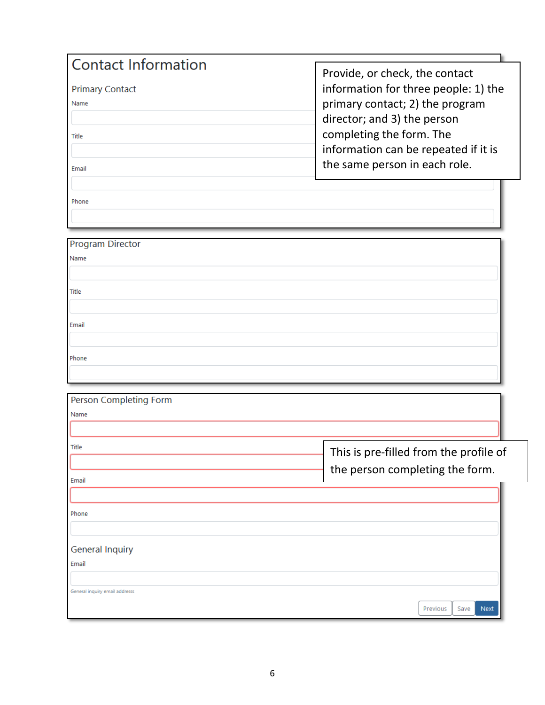| <b>Contact Information</b> |                                      |
|----------------------------|--------------------------------------|
|                            | Provide, or check, the contact       |
| <b>Primary Contact</b>     | information for three people: 1) the |
| Name                       | primary contact; 2) the program      |
|                            | director; and 3) the person          |
| Title                      | completing the form. The             |
|                            | information can be repeated if it is |
| Email                      | the same person in each role.        |
|                            |                                      |
| Phone                      |                                      |
|                            |                                      |

| Program Director |
|------------------|
| Name             |
|                  |
| Title            |
|                  |
| Email            |
|                  |
| Phone            |
|                  |

| Person Completing Form         |                                                                           |          |      |             |
|--------------------------------|---------------------------------------------------------------------------|----------|------|-------------|
| Name                           |                                                                           |          |      |             |
| Title<br>Email                 | This is pre-filled from the profile of<br>the person completing the form. |          |      |             |
| Phone                          |                                                                           |          |      |             |
| <b>General Inquiry</b>         |                                                                           |          |      |             |
| Email                          |                                                                           |          |      |             |
| General inquiry email addresss |                                                                           | Previous | Save | <b>Next</b> |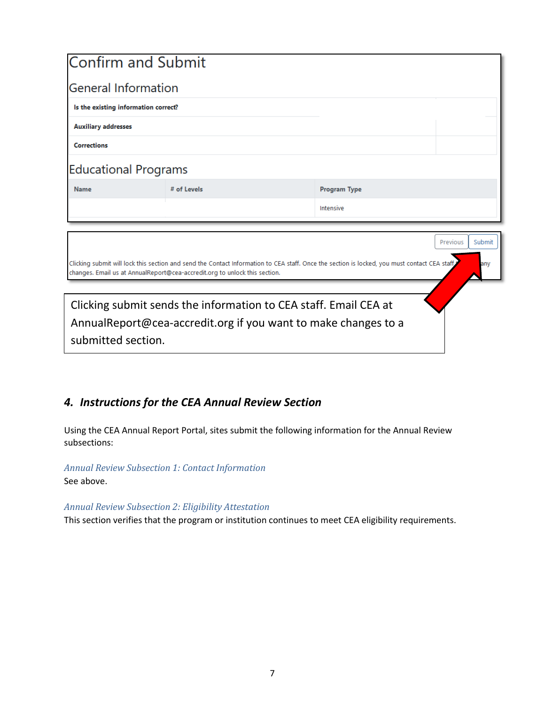| <b>Confirm and Submit</b>            |                                                                                                                                                                                                                            |                     |          |        |
|--------------------------------------|----------------------------------------------------------------------------------------------------------------------------------------------------------------------------------------------------------------------------|---------------------|----------|--------|
| <b>General Information</b>           |                                                                                                                                                                                                                            |                     |          |        |
|                                      |                                                                                                                                                                                                                            |                     |          |        |
| Is the existing information correct? |                                                                                                                                                                                                                            |                     |          |        |
| <b>Auxiliary addresses</b>           |                                                                                                                                                                                                                            |                     |          |        |
| <b>Corrections</b>                   |                                                                                                                                                                                                                            |                     |          |        |
| <b>Educational Programs</b>          |                                                                                                                                                                                                                            |                     |          |        |
| <b>Name</b>                          | # of Levels                                                                                                                                                                                                                | <b>Program Type</b> |          |        |
|                                      |                                                                                                                                                                                                                            | Intensive           |          |        |
|                                      |                                                                                                                                                                                                                            |                     |          |        |
|                                      |                                                                                                                                                                                                                            |                     | Previous | Submit |
|                                      | Clicking submit will lock this section and send the Contact Information to CEA staff. Once the section is locked, you must contact CEA staff<br>changes. Email us at AnnualReport@cea-accredit.org to unlock this section. |                     |          | any    |
|                                      |                                                                                                                                                                                                                            |                     |          |        |
|                                      | Clicking submit sends the information to CEA staff. Email CEA at                                                                                                                                                           |                     |          |        |
|                                      | AnnualReport@cea-accredit.org if you want to make changes to a                                                                                                                                                             |                     |          |        |
| submitted section.                   |                                                                                                                                                                                                                            |                     |          |        |
|                                      |                                                                                                                                                                                                                            |                     |          |        |

#### <span id="page-6-0"></span>*4. Instructions for the CEA Annual Review Section*

Using the CEA Annual Report Portal, sites submit the following information for the Annual Review subsections:

*Annual Review Subsection 1: Contact Information* See above.

#### *Annual Review Subsection 2: Eligibility Attestation*

This section verifies that the program or institution continues to meet CEA eligibility requirements.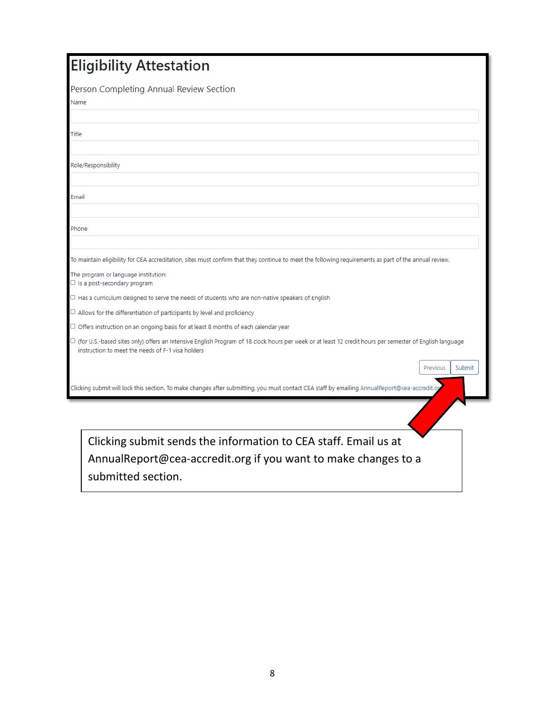| <b>Eligibility Attestation</b>                                                                                                                                                                                      |
|---------------------------------------------------------------------------------------------------------------------------------------------------------------------------------------------------------------------|
| Person Completing Annual Review Section                                                                                                                                                                             |
| Name                                                                                                                                                                                                                |
|                                                                                                                                                                                                                     |
| Title                                                                                                                                                                                                               |
|                                                                                                                                                                                                                     |
| Role/Responsibility                                                                                                                                                                                                 |
|                                                                                                                                                                                                                     |
| Email                                                                                                                                                                                                               |
|                                                                                                                                                                                                                     |
| Phone                                                                                                                                                                                                               |
|                                                                                                                                                                                                                     |
| To maintain eligibility for CEA accreditation, sites must confirm that they continue to meet the following requirements as part of the annual review.                                                               |
| The program or language institution:<br>$\Box$ Is a post-secondary program                                                                                                                                          |
| $\Box$ Has a curriculum designed to serve the needs of students who are non-native speakers of English                                                                                                              |
| $\Box$ Allows for the differentiation of participants by level and proficiency                                                                                                                                      |
| $\Box$ Offers instruction on an ongoing basis for at least 8 months of each calendar year                                                                                                                           |
| $\Box$ (for U.S.-based sites only) offers an Intensive English Program of 18 clock hours per week or at least 12 credit hours per semester of English language<br>instruction to meet the needs of F-1 visa holders |
| Submit<br>Previous                                                                                                                                                                                                  |
| Clicking submit will lock this section. To make changes after submitting, you must contact CEA staff by emailing AnnualReport@cea-accredit.or                                                                       |
|                                                                                                                                                                                                                     |
| Clicking submit sends the information to CEA staff. Email us at                                                                                                                                                     |
| AnnualReport@cea-accredit.org if you want to make changes to a                                                                                                                                                      |

submitted section.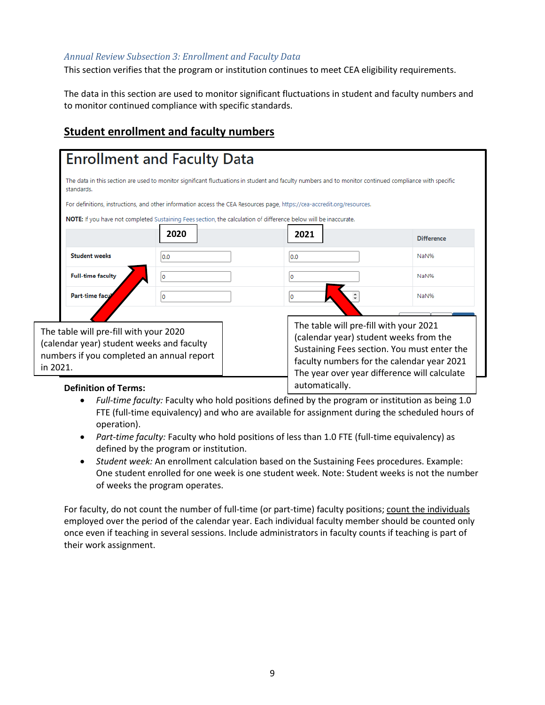#### *Annual Review Subsection 3: Enrollment and Faculty Data*

This section verifies that the program or institution continues to meet CEA eligibility requirements.

The data in this section are used to monitor significant fluctuations in student and faculty numbers and to monitor continued compliance with specific standards.

#### **Student enrollment and faculty numbers**

|                                                                                                                                              | For definitions, instructions, and other information access the CEA Resources page, https://cea-accredit.org/resources.<br>NOTE: If you have not completed Sustaining Fees section, the calculation of difference below will be inaccurate. |                                                                                                                                                                                                                               |                   |
|----------------------------------------------------------------------------------------------------------------------------------------------|---------------------------------------------------------------------------------------------------------------------------------------------------------------------------------------------------------------------------------------------|-------------------------------------------------------------------------------------------------------------------------------------------------------------------------------------------------------------------------------|-------------------|
|                                                                                                                                              | 2020                                                                                                                                                                                                                                        | 2021                                                                                                                                                                                                                          | <b>Difference</b> |
| <b>Student weeks</b>                                                                                                                         | 0.0                                                                                                                                                                                                                                         | 0.0                                                                                                                                                                                                                           | NaN%              |
| <b>Full-time faculty</b>                                                                                                                     | Ю                                                                                                                                                                                                                                           |                                                                                                                                                                                                                               | NaN%              |
| Part-time facu                                                                                                                               | 0                                                                                                                                                                                                                                           |                                                                                                                                                                                                                               | NaN%              |
| The table will pre-fill with your 2020<br>(calendar year) student weeks and faculty<br>numbers if you completed an annual report<br>in 2021. |                                                                                                                                                                                                                                             | The table will pre-fill with your 2021<br>(calendar year) student weeks from the<br>Sustaining Fees section. You must enter the<br>faculty numbers for the calendar year 2021<br>The year over year difference will calculate |                   |
| <b>Definition of Terms:</b>                                                                                                                  |                                                                                                                                                                                                                                             | automatically.                                                                                                                                                                                                                |                   |

- *Full-time faculty:* Faculty who hold positions defined by the program or institution as being 1.0 FTE (full-time equivalency) and who are available for assignment during the scheduled hours of operation).
- *Part-time faculty:* Faculty who hold positions of less than 1.0 FTE (full-time equivalency) as defined by the program or institution.
- *Student week:* An enrollment calculation based on the Sustaining Fees procedures. Example: One student enrolled for one week is one student week. Note: Student weeks is not the number of weeks the program operates.

For faculty, do not count the number of full-time (or part-time) faculty positions; count the individuals employed over the period of the calendar year. Each individual faculty member should be counted only once even if teaching in several sessions. Include administrators in faculty counts if teaching is part of their work assignment.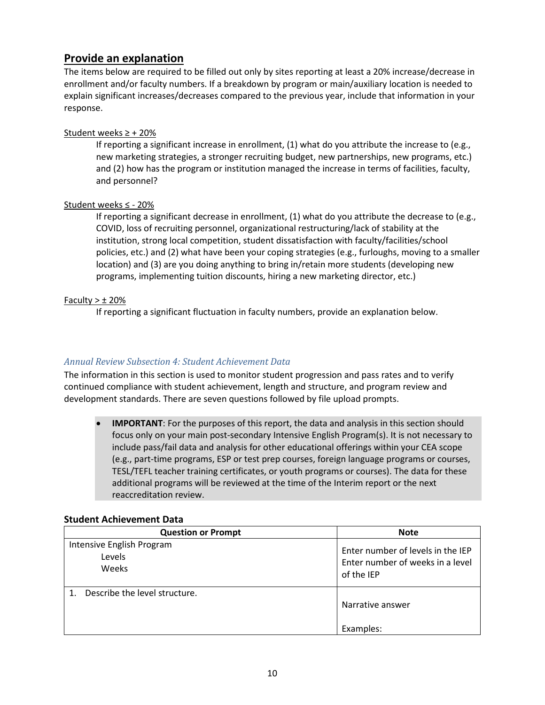#### **Provide an explanation**

The items below are required to be filled out only by sites reporting at least a 20% increase/decrease in enrollment and/or faculty numbers. If a breakdown by program or main/auxiliary location is needed to explain significant increases/decreases compared to the previous year, include that information in your response.

#### Student weeks ≥ + 20%

If reporting a significant increase in enrollment, (1) what do you attribute the increase to (e.g., new marketing strategies, a stronger recruiting budget, new partnerships, new programs, etc.) and (2) how has the program or institution managed the increase in terms of facilities, faculty, and personnel?

#### Student weeks ≤ - 20%

If reporting a significant decrease in enrollment, (1) what do you attribute the decrease to (e.g., COVID, loss of recruiting personnel, organizational restructuring/lack of stability at the institution, strong local competition, student dissatisfaction with faculty/facilities/school policies, etc.) and (2) what have been your coping strategies (e.g., furloughs, moving to a smaller location) and (3) are you doing anything to bring in/retain more students (developing new programs, implementing tuition discounts, hiring a new marketing director, etc.)

#### Faculty  $>$   $\pm$  20%

If reporting a significant fluctuation in faculty numbers, provide an explanation below.

#### *Annual Review Subsection 4: Student Achievement Data*

The information in this section is used to monitor student progression and pass rates and to verify continued compliance with student achievement, length and structure, and program review and development standards. There are seven questions followed by file upload prompts.

• **IMPORTANT**: For the purposes of this report, the data and analysis in this section should focus only on your main post-secondary Intensive English Program(s). It is not necessary to include pass/fail data and analysis for other educational offerings within your CEA scope (e.g., part-time programs, ESP or test prep courses, foreign language programs or courses, TESL/TEFL teacher training certificates, or youth programs or courses). The data for these additional programs will be reviewed at the time of the Interim report or the next reaccreditation review.

| <b>Question or Prompt</b>                    | <b>Note</b>                                                                         |
|----------------------------------------------|-------------------------------------------------------------------------------------|
| Intensive English Program<br>Levels<br>Weeks | Enter number of levels in the IEP<br>Enter number of weeks in a level<br>of the IEP |
| Describe the level structure.                | Narrative answer<br>Examples:                                                       |

#### **Student Achievement Data**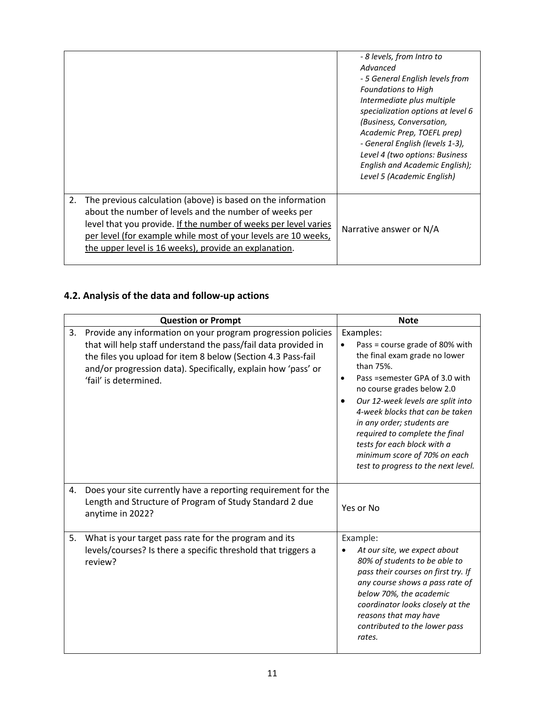|    |                                                                                                                                                                                                                                                                                                                      | - 8 levels, from Intro to<br>Advanced<br>- 5 General English levels from<br><b>Foundations to High</b><br>Intermediate plus multiple<br>specialization options at level 6<br>(Business, Conversation,<br>Academic Prep, TOEFL prep)<br>- General English (levels 1-3),<br>Level 4 (two options: Business<br>English and Academic English);<br>Level 5 (Academic English) |
|----|----------------------------------------------------------------------------------------------------------------------------------------------------------------------------------------------------------------------------------------------------------------------------------------------------------------------|--------------------------------------------------------------------------------------------------------------------------------------------------------------------------------------------------------------------------------------------------------------------------------------------------------------------------------------------------------------------------|
| 2. | The previous calculation (above) is based on the information<br>about the number of levels and the number of weeks per<br>level that you provide. If the number of weeks per level varies<br>per level (for example while most of your levels are 10 weeks,<br>the upper level is 16 weeks), provide an explanation. | Narrative answer or N/A                                                                                                                                                                                                                                                                                                                                                  |

#### **4.2. Analysis of the data and follow-up actions**

|    | <b>Question or Prompt</b>                                                                                                                                                                                                                                                                | <b>Note</b>                                                                                                                                                                                                                                                                                                                                                                                                                        |  |  |  |  |
|----|------------------------------------------------------------------------------------------------------------------------------------------------------------------------------------------------------------------------------------------------------------------------------------------|------------------------------------------------------------------------------------------------------------------------------------------------------------------------------------------------------------------------------------------------------------------------------------------------------------------------------------------------------------------------------------------------------------------------------------|--|--|--|--|
| 3. | Provide any information on your program progression policies<br>that will help staff understand the pass/fail data provided in<br>the files you upload for item 8 below (Section 4.3 Pass-fail<br>and/or progression data). Specifically, explain how 'pass' or<br>'fail' is determined. | Examples:<br>Pass = course grade of 80% with<br>$\bullet$<br>the final exam grade no lower<br>than 75%.<br>Pass =semester GPA of 3.0 with<br>$\bullet$<br>no course grades below 2.0<br>Our 12-week levels are split into<br>4-week blocks that can be taken<br>in any order; students are<br>required to complete the final<br>tests for each block with a<br>minimum score of 70% on each<br>test to progress to the next level. |  |  |  |  |
| 4. | Does your site currently have a reporting requirement for the<br>Length and Structure of Program of Study Standard 2 due<br>anytime in 2022?                                                                                                                                             | Yes or No                                                                                                                                                                                                                                                                                                                                                                                                                          |  |  |  |  |
| 5. | What is your target pass rate for the program and its<br>levels/courses? Is there a specific threshold that triggers a<br>review?                                                                                                                                                        | Example:<br>At our site, we expect about<br>80% of students to be able to<br>pass their courses on first try. If<br>any course shows a pass rate of<br>below 70%, the academic<br>coordinator looks closely at the<br>reasons that may have<br>contributed to the lower pass<br>rates.                                                                                                                                             |  |  |  |  |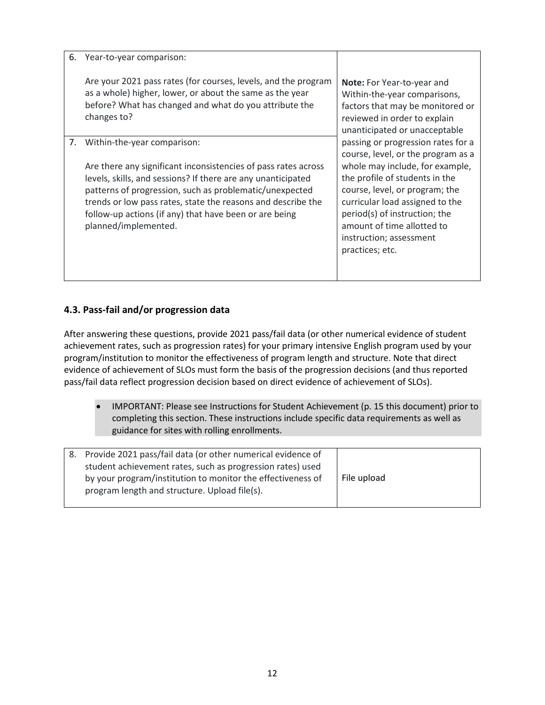6. Year-to-year comparison:

Are your 2021 pass rates (for courses, levels, and the program as a whole) higher, lower, or about the same as the year before? What has changed and what do you attribute the changes to?

7. Within-the-year comparison:

Are there any significant inconsistencies of pass rates across levels, skills, and sessions? If there are any unanticipated patterns of progression, such as problematic/unexpected trends or low pass rates, state the reasons and describe the follow-up actions (if any) that have been or are being planned/implemented.

**Note:** For Year-to-year and Within-the-year comparisons, factors that may be monitored or reviewed in order to explain unanticipated or unacceptable passing or progression rates for a course, level, or the program as a whole may include, for example, the profile of students in the course, level, or program; the curricular load assigned to the period(s) of instruction; the amount of time allotted to instruction; assessment practices; etc.

#### **4.3. Pass-fail and/or progression data**

After answering these questions, provide 2021 pass/fail data (or other numerical evidence of student achievement rates, such as progression rates) for your primary intensive English program used by your program/institution to monitor the effectiveness of program length and structure. Note that direct evidence of achievement of SLOs must form the basis of the progression decisions (and thus reported pass/fail data reflect progression decision based on direct evidence of achievement of SLOs).

• IMPORTANT: Please see Instructions for Student Achievement (p. 15 this document) prior to completing this section. These instructions include specific data requirements as well as guidance for sites with rolling enrollments.

| 8. Provide 2021 pass/fail data (or other numerical evidence of |             |
|----------------------------------------------------------------|-------------|
| student achievement rates, such as progression rates) used     |             |
| by your program/institution to monitor the effectiveness of    | File upload |
| program length and structure. Upload file(s).                  |             |
|                                                                |             |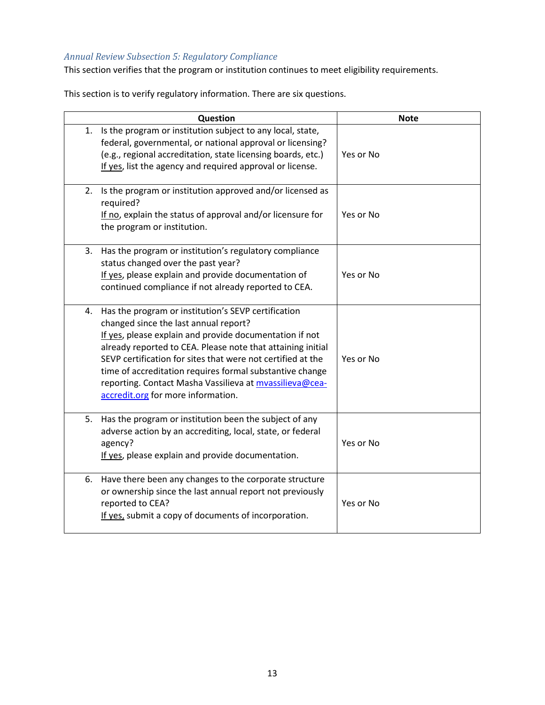#### *Annual Review Subsection 5: Regulatory Compliance*

This section verifies that the program or institution continues to meet eligibility requirements.

This section is to verify regulatory information. There are six questions.

|    | Question                                                                                                                                                                                                                                                                                                                                                                                                                                           | <b>Note</b> |  |  |  |  |
|----|----------------------------------------------------------------------------------------------------------------------------------------------------------------------------------------------------------------------------------------------------------------------------------------------------------------------------------------------------------------------------------------------------------------------------------------------------|-------------|--|--|--|--|
|    | 1. Is the program or institution subject to any local, state,<br>federal, governmental, or national approval or licensing?<br>(e.g., regional accreditation, state licensing boards, etc.)<br>If yes, list the agency and required approval or license.                                                                                                                                                                                            | Yes or No   |  |  |  |  |
| 2. | Is the program or institution approved and/or licensed as<br>required?<br>If no, explain the status of approval and/or licensure for<br>the program or institution.                                                                                                                                                                                                                                                                                | Yes or No   |  |  |  |  |
| 3. | Has the program or institution's regulatory compliance<br>status changed over the past year?<br>If yes, please explain and provide documentation of<br>continued compliance if not already reported to CEA.                                                                                                                                                                                                                                        | Yes or No   |  |  |  |  |
| 4. | Has the program or institution's SEVP certification<br>changed since the last annual report?<br>If yes, please explain and provide documentation if not<br>already reported to CEA. Please note that attaining initial<br>SEVP certification for sites that were not certified at the<br>time of accreditation requires formal substantive change<br>reporting. Contact Masha Vassilieva at mvassilieva@cea-<br>accredit.org for more information. | Yes or No   |  |  |  |  |
| 5. | Has the program or institution been the subject of any<br>adverse action by an accrediting, local, state, or federal<br>agency?<br>If yes, please explain and provide documentation.                                                                                                                                                                                                                                                               | Yes or No   |  |  |  |  |
| 6. | Have there been any changes to the corporate structure<br>or ownership since the last annual report not previously<br>reported to CEA?<br>If yes, submit a copy of documents of incorporation.                                                                                                                                                                                                                                                     | Yes or No   |  |  |  |  |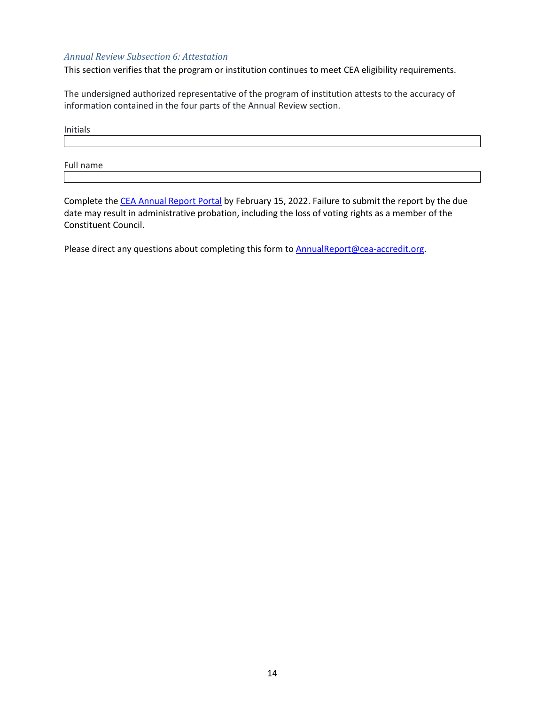#### *Annual Review Subsection 6: Attestation*

This section verifies that the program or institution continues to meet CEA eligibility requirements.

The undersigned authorized representative of the program of institution attests to the accuracy of information contained in the four parts of the Annual Review section.

Initials

Full name

Complete the [CEA Annual Report Portal](https://carp.cea-accredit.org/) by February 15, 2022. Failure to submit the report by the due date may result in administrative probation, including the loss of voting rights as a member of the Constituent Council.

Please direct any questions about completing this form to **AnnualReport@cea-accredit.org**.